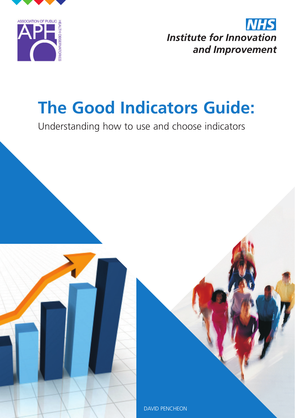





# **The Good Indicators Guide:**

Understanding how to use and choose indicators



DAVID PENCHEON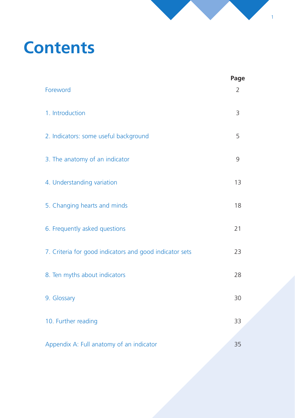# 1

# **Contents**

|                                                         | Page           |
|---------------------------------------------------------|----------------|
| Foreword                                                | $\overline{2}$ |
| 1. Introduction                                         | 3              |
| 2. Indicators: some useful background                   | 5              |
| 3. The anatomy of an indicator                          | 9              |
| 4. Understanding variation                              | 13             |
| 5. Changing hearts and minds                            | 18             |
| 6. Frequently asked questions                           | 21             |
| 7. Criteria for good indicators and good indicator sets | 23             |
| 8. Ten myths about indicators                           | 28             |
| 9. Glossary                                             | 30             |
| 10. Further reading                                     | 33             |
| Appendix A: Full anatomy of an indicator                | 35             |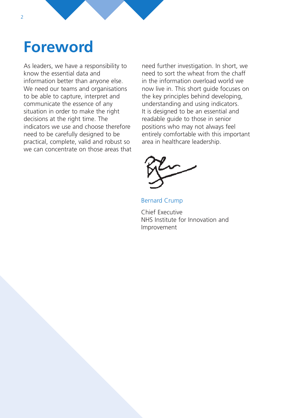# **Foreword**

As leaders, we have a responsibility to know the essential data and information better than anyone else. We need our teams and organisations to be able to capture, interpret and communicate the essence of any situation in order to make the right decisions at the right time. The indicators we use and choose therefore need to be carefully designed to be practical, complete, valid and robust so we can concentrate on those areas that need further investigation. In short, we need to sort the wheat from the chaff in the information overload world we now live in. This short guide focuses on the key principles behind developing, understanding and using indicators. It is designed to be an essential and readable guide to those in senior positions who may not always feel entirely comfortable with this important area in healthcare leadership.



Bernard Crump

Chief Executive NHS Institute for Innovation and Improvement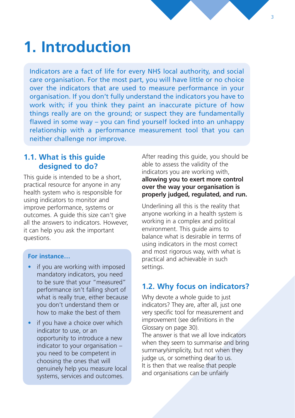# **1. Introduction**

Indicators are a fact of life for every NHS local authority, and social care organisation. For the most part, you will have little or no choice over the indicators that are used to measure performance in your organisation. If you don't fully understand the indicators you have to work with; if you think they paint an inaccurate picture of how things really are on the ground; or suspect they are fundamentally flawed in some way – you can find yourself locked into an unhappy relationship with a performance measurement tool that you can neither challenge nor improve.

## **1.1. What is this guide designed to do?**

This guide is intended to be a short, practical resource for anyone in any health system who is responsible for using indicators to monitor and improve performance, systems or outcomes. A guide this size can't give all the answers to indicators. However, it can help you ask the important questions.

## **For instance…**

- if you are working with imposed mandatory indicators, you need to be sure that your "measured" performance isn't falling short of what is really true, either because you don't understand them or how to make the best of them
- if you have a choice over which indicator to use, or an opportunity to introduce a new indicator to your organisation – you need to be competent in choosing the ones that will genuinely help you measure local systems, services and outcomes.

After reading this guide, you should be able to assess the validity of the indicators you are working with, **allowing you to exert more control over the way your organisation is properly judged, regulated, and run.**

Underlining all this is the reality that anyone working in a health system is working in a complex and political environment. This guide aims to balance what is desirable in terms of using indicators in the most correct and most rigorous way, with what is practical and achievable in such settings.

## **1.2. Why focus on indicators?**

Why devote a whole guide to just indicators? They are, after all, just one very specific tool for measurement and improvement (see definitions in the Glossary on page 30). The answer is that we all love indicators when they seem to summarise and bring summary/simplicity, but not when they judge us, or something dear to us. It is then that we realise that people and organisations can be unfairly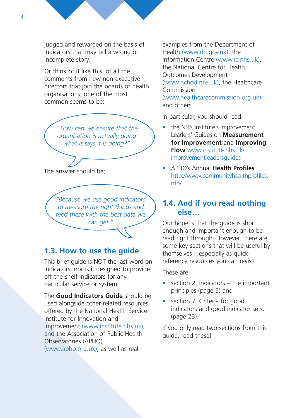judged and rewarded on the basis of indicators that may tell a wrong or incomplete story.

Or think of it like this: of all the comments from new non-executive directors that join the boards of health organisations, one of the most common seems to be:



The answer should be;

*"Because we use good indicators to measure the right things and feed these with the best data we can get."* 

## **1.3. How to use the guide**

This brief guide is NOT the last word on indicators; nor is it designed to provide off-the-shelf indicators for any particular service or system.

The **Good Indicators Guide** should be used alongside other related resources offered by the National Health Service Institute for Innovation and Improvement (www.institute.nhs.uk), and the Association of Public Health Observatories (APHO) (www.apho.org.uk), as well as real

examples from the Department of Health (www.dh.gov.uk), the Information Centre (www.ic.nhs.uk) the National Centre for Health Outcomes Development (www.nchod.nhs.uk), the Healthcare Commission (www.healthcarecommission.org.uk) and others.

In particular, you should read:

- the NHS Institute's Improvement Leaders' Guides on **Measurement for Improvement** and **Improving Flow** www.institute.nhs.uk/ improvementleadersguides
- APHO's Annual **Health Profiles** http://www.communityhealthprofiles.i nfo/

## **1.4. And if you read nothing else…**

Our hope is that the guide is short enough and important enough to be read right through. However, there are some key sections that will be useful by themselves – especially as quickreference resources you can revisit.

These are:

- section 2. Indicators the important principles (page 5) and
- section 7. Criteria for good indicators and good indicator sets. (page 23).

If you only read two sections from this guide, read these!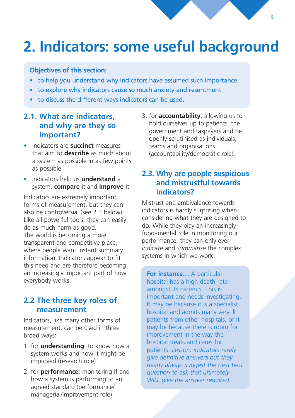# **2. Indicators: some useful background**

## **Objectives of this section:**

- to help you understand why indicators have assumed such importance
- to explore why indicators cause so much anxiety and resentment
- to discuss the different ways indicators can be used.

## **2.1. What are indicators, and why are they so important?**

- indicators are **succinct** measures that aim to **describe** as much about a system as possible in as few points as possible.
- indicators help us **understand** a system, **compare** it and **improve** it.

Indicators are extremely important forms of measurement, but they can also be controversial (see 2.3 below). Like all powerful tools, they can easily do as much harm as good. The world is becoming a more transparent and competitive place, where people want instant summary information. Indicators appear to fit this need and are therefore becoming an increasingly important part of how everybody works.

## **2.2 The three key roles of measurement**

Indicators, like many other forms of measurement, can be used in three broad ways:

- 1. for **understanding**: to know how a system works and how it might be improved (research role)
- 2. for **performance**: monitoring if and how a system is performing to an agreed standard (performance/ managerial/improvement role)

3. for **accountability**: allowing us to hold ourselves up to patients, the government and taxpayers and be openly scrutinised as individuals, teams and organisations (accountability/democratic role).

# **2.3. Why are people suspicious and mistrustful towards indicators?**

Mistrust and ambivalence towards indicators is hardly surprising when considering what they are designed to do. While they play an increasingly fundamental role in monitoring our performance, they can only ever *indicate* and *summarise* the complex systems in which we work.

**For instance…** A particular hospital has a high death rate amongst its patients. This is important and needs investigating. It may be because it is a specialist hospital and admits many very ill patients from other hospitals, or it may be because there is room for improvement in the way the hospital treats and cares for patients. *Lesson: indicators rarely give definitive answers but they nearly always suggest the next best question to ask that ultimately WILL give the answer required.*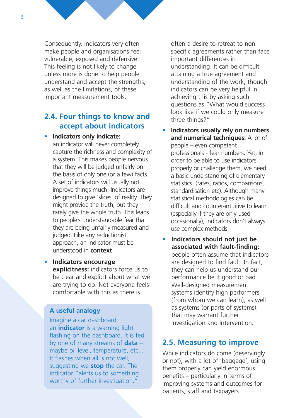Consequently, indicators very often make people and organisations feel vulnerable, exposed and defensive. This feeling is not likely to change unless more is done to help people understand and accept the strengths, as well as the limitations, of these important measurement tools.

## **2.4. Four things to know and accept about indicators**

• **Indicators only indicate:** an indicator will never completely capture the richness and complexity of a system. This makes people nervous that they will be judged unfairly on the basis of only one (or a few) facts. A set of indicators will usually not improve things much. Indicators are designed to give 'slices' of reality. They might provide the truth, but they rarely give the whole truth. This leads to people's understandable fear that they are being unfairly measured and judged. Like any reductionist approach, an indicator must be understood in **context**

• **Indicators encourage explicitness:** indicators force us to be clear and explicit about what we are trying to do. Not everyone feels comfortable with this as there is

### **A useful analogy**

Imagine a car dashboard: an **indicator** is a warning light flashing on the dashboard. It is fed by one of many streams of **data** – maybe oil level, temperature, etc... It flashes when all is not well. suggesting we **stop** the car. The indicator "alerts us to something worthy of further investigation."

often a desire to retreat to non specific agreements rather than face important differences in understanding. It can be difficult attaining a true agreement and understanding of the work, though indicators can be very helpful in achieving this by asking such questions as "What would success look like if we could only measure three things?"

- **Indicators usually rely on numbers and numerical techniques:** A lot of people – even competent professionals - fear numbers. Yet, in order to be able to use indicators properly or challenge them, we need a basic understanding of elementary statistics (rates, ratios, comparisons, standardisation etc). Although many statistical methodologies can be difficult and counter-intuitive to learn (especially if they are only used occasionally), indicators don't always use complex methods.
- **Indicators should not just be associated with fault-finding:** people often assume that indicators are designed to find fault. In fact, they can help us understand our performance be it good or bad. Well-designed measurement systems identify high performers (from whom we can learn), as well as systems (or parts of systems), that may warrant further investigation and intervention.

## **2.5. Measuring to improve**

While indicators do come (deservingly or not), with a lot of 'baggage', using them properly can yield enormous benefits – particularly in terms of improving systems and outcomes for patients, staff and taxpayers.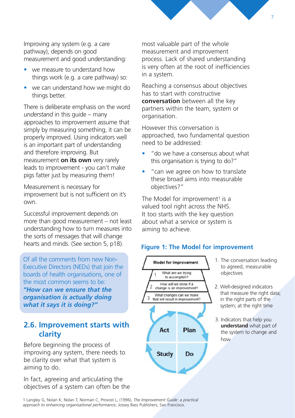7

Improving any system (e.g. a care pathway), depends on good measurement and good understanding:

- we measure to understand how things work (e.g. a care pathway) so:
- we can understand how we might do things better.

There is deliberate emphasis on the word *understand* in this guide – many approaches to improvement assume that simply by measuring something, it can be properly improved. Using indicators well is an important part of understanding and therefore improving. But measurement **on its own** very rarely leads to improvement - you can't make pigs fatter just by measuring them!

Measurement is necessary for improvement but is not sufficient on it's own.

Successful improvement depends on more than good measurement – not least understanding how to turn measures into the sorts of messages that will change hearts and minds. (See section 5, p18).

Of all the comments from new Non-Executive Directors (NEDs) that join the boards of health organisations, one of the most common seems to be: *"How can we ensure that the organisation is actually doing what it says it is doing?"*

# **2.6. Improvement starts with clarity**

Before beginning the process of improving any system, there needs to be clarity over what that system is aiming to do.

In fact, agreeing and articulating the objectives of a system can often be the most valuable part of the whole measurement and improvement process. Lack of shared understanding is very often at the root of inefficiencies in a system.

Reaching a consensus about objectives has to start with constructive **conversation** between all the key partners within the team, system or organisation.

However this conversation is approached, two fundamental question need to be addressed:

- "do we have a consensus about what this organisation is trying to do?"
- "can we agree on how to translate these broad aims into measurable objectives?"

The Model for improvement<sup>1</sup> is a valued tool right across the NHS. It too starts with the key question about what a service or system is aiming to achieve.

## **Figure 1: The Model for improvement**



- 1. The conversation leading to agreed, measurable
- 2. Well-designed indicators that measure the right data; in the right parts of the system; at the right time
- 3. Indicators that help you **understand** what part of the system to change and how

1 Langley G, Nolan K, Nolan T, Norman C, Provost L, (1996), *The Improvement Guide: a practical approach to enhancing organisational performance*, Jossey Bass Publishers, San Francisco.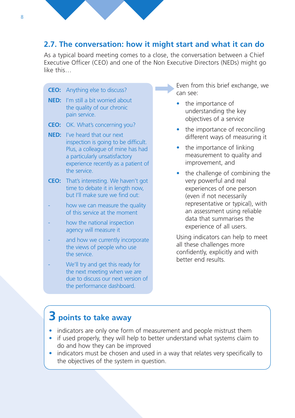# **2.7. The conversation: how it might start and what it can do**

As a typical board meeting comes to a close, the conversation between a Chief Executive Officer (CEO) and one of the Non Executive Directors (NEDs) might go like this…

- **CEO:** Anything else to discuss?
- **NED:** I'm still a bit worried about the quality of our chronic pain service.
- **CEO:** OK. What's concerning you?
- **NED:** I've heard that our next inspection is going to be difficult. Plus, a colleague of mine has had a particularly unsatisfactory experience recently as a patient of the service.
- **CEO:** That's interesting. We haven't got time to debate it in length now. but I'll make sure we find out:
- how we can measure the quality of this service at the moment
- how the national inspection agency will measure it
- and how we currently incorporate the views of people who use the service.
- We'll try and get this ready for the next meeting when we are due to discuss our next version of the performance dashboard.
- Even from this brief exchange, we can see:
- the importance of understanding the key objectives of a service
- the importance of reconciling different ways of measuring it
- the importance of linking measurement to quality and improvement, and
- the challenge of combining the very powerful and real experiences of one person (even if not necessarily representative or typical), with an assessment using reliable data that summarises the experience of all users.

Using indicators can help to meet all these challenges more confidently, explicitly and with better end results.

# **3 points to take away**

- indicators are only one form of measurement and people mistrust them
- if used properly, they will help to better understand what systems claim to do and how they can be improved
- indicators must be chosen and used in a way that relates very specifically to the objectives of the system in question.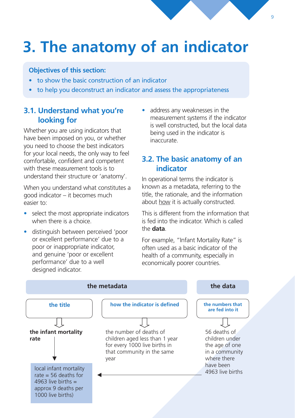# **3. The anatomy of an indicator**

## **Objectives of this section:**

- to show the basic construction of an indicator
- to help you deconstruct an indicator and assess the appropriateness

# **3.1. Understand what you're looking for**

Whether you are using indicators that have been imposed on you, or whether you need to choose the best indicators for your local needs, the only way to feel comfortable, confident and competent with these measurement tools is to understand their structure or 'anatomy'.

When you understand what constitutes a good indicator – it becomes much easier to:

- select the most appropriate indicators when there is a choice.
- distinguish between perceived 'poor or excellent performance' due to a poor or inappropriate indicator, and genuine 'poor or excellent performance' due to a well designed indicator.

• address any weaknesses in the measurement systems if the indicator is well constructed, but the local data being used in the indicator is inaccurate.

## **3.2. The basic anatomy of an indicator**

In operational terms the indicator is known as a metadata, referring to the title, the rationale, and the information about how it is actually constructed.

This is different from the information that is fed into the indicator. Which is called the **data**.

For example, "Infant Mortality Rate" is often used as a basic indicator of the health of a community, especially in economically poorer countries.

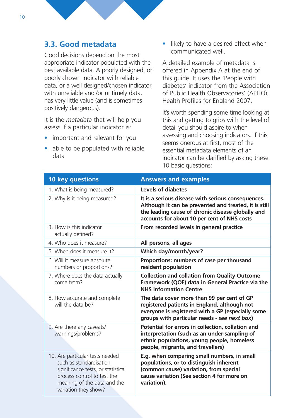## **3.3. Good metadata**

Good decisions depend on the most appropriate indicator populated with the best available data. A poorly designed, or poorly chosen indicator with reliable data, or a well designed/chosen indicator with unreliable and /or untimely data, has very little value (and is sometimes positively dangerous).

It is the *metadata* that will help you assess if a particular indicator is:

- important and relevant for you
- able to be populated with reliable data

• likely to have a desired effect when communicated well.

A detailed example of metadata is offered in Appendix A at the end of this guide. It uses the 'People with diabetes' indicator from the Association of Public Health Observatories' (APHO), Health Profiles for England 2007.

It's worth spending some time looking at this and getting to grips with the level of detail you should aspire to when assessing and choosing indicators. If this seems onerous at first, most of the essential metadata elements of an indicator can be clarified by asking these 10 basic questions:

| 10 key questions                                                                                                                                                                        | <b>Answers and examples</b>                                                                                                                                                                                     |
|-----------------------------------------------------------------------------------------------------------------------------------------------------------------------------------------|-----------------------------------------------------------------------------------------------------------------------------------------------------------------------------------------------------------------|
| 1. What is being measured?                                                                                                                                                              | Levels of diabetes                                                                                                                                                                                              |
| 2. Why is it being measured?                                                                                                                                                            | It is a serious disease with serious consequences.<br>Although it can be prevented and treated, it is still<br>the leading cause of chronic disease globally and<br>accounts for about 10 per cent of NHS costs |
| 3. How is this indicator<br>actually defined?                                                                                                                                           | From recorded levels in general practice                                                                                                                                                                        |
| 4. Who does it measure?                                                                                                                                                                 | All persons, all ages                                                                                                                                                                                           |
| 5. When does it measure it?                                                                                                                                                             | Which day/month/year?                                                                                                                                                                                           |
| 6 Will it measure absolute<br>numbers or proportions?                                                                                                                                   | Proportions: numbers of case per thousand<br>resident population                                                                                                                                                |
| 7. Where does the data actually<br>come from?                                                                                                                                           | <b>Collection and collation from Quality Outcome</b><br>Framework (QOF) data in General Practice via the<br><b>NHS Information Centre</b>                                                                       |
| 8. How accurate and complete<br>will the data be?                                                                                                                                       | The data cover more than 99 per cent of GP<br>registered patients in England, although not<br>everyone is registered with a GP (especially some<br>groups with particular needs - see next box)                 |
| 9. Are there any caveats/<br>warnings/problems?                                                                                                                                         | Potential for errors in collection, collation and<br>interpretation (such as an under-sampling of<br>ethnic populations, young people, homeless<br>people, migrants, and travellers)                            |
| 10. Are particular tests needed<br>such as standardisation,<br>significance tests, or statistical<br>process control to test the<br>meaning of the data and the<br>variation they show? | E.g. when comparing small numbers, in small<br>populations, or to distinguish inherent<br>(common cause) variation, from special<br>cause variation (See section 4 for more on<br>variation).                   |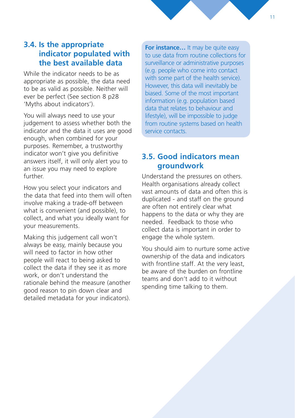## **3.4. Is the appropriate indicator populated with the best available data**

While the indicator needs to be as appropriate as possible, the data need to be as valid as possible. Neither will ever be perfect (See section 8 p28 'Myths about indicators').

You will always need to use your judgement to assess whether both the indicator and the data it uses are good enough, when combined for your purposes. Remember, a trustworthy indicator won't give you definitive answers itself, it will only alert you to an issue you may need to explore further.

How you select your indicators and the data that feed into them will often involve making a trade-off between what is convenient (and possible), to collect, and what you ideally want for your measurements.

Making this judgement call won't always be easy, mainly because you will need to factor in how other people will react to being asked to collect the data if they see it as more work, or don't understand the rationale behind the measure (another good reason to pin down clear and detailed metadata for your indicators).

**For instance...** It may be quite easy to use data from routine collections for surveillance or administrative purposes (e.g. people who come into contact with some part of the health service). However, this data will inevitably be biased. Some of the most important information (e.g. population based data that relates to behaviour and lifestyle), will be impossible to judge from routine systems based on health service contacts.

## **3.5. Good indicators mean groundwork**

Understand the pressures on others. Health organisations already collect vast amounts of data and often this is duplicated - and staff on the ground are often not entirely clear what happens to the data or why they are needed. Feedback to those who collect data is important in order to engage the whole system.

You should aim to nurture some active ownership of the data and indicators with frontline staff. At the very least, be aware of the burden on frontline teams and don't add to it without spending time talking to them.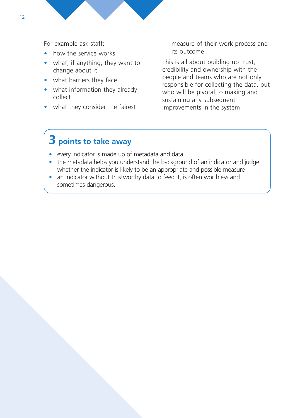For example ask staff:

- how the service works
- what, if anything, they want to change about it
- what barriers they face
- what information they already collect
- what they consider the fairest

measure of their work process and its outcome.

This is all about building up trust, credibility and ownership with the people and teams who are not only responsible for collecting the data, but who will be pivotal to making and sustaining any subsequent improvements in the system.

# **3 points to take away**

- every indicator is made up of metadata and data
- the metadata helps you understand the background of an indicator and judge whether the indicator is likely to be an appropriate and possible measure
- an indicator without trustworthy data to feed it, is often worthless and sometimes dangerous.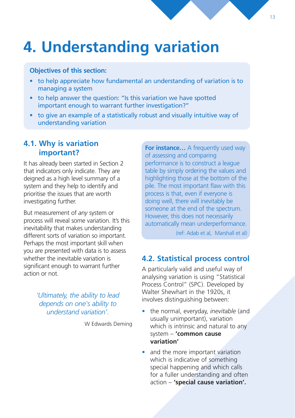# **4. Understanding variation**

## **Objectives of this section:**

- to help appreciate how fundamental an understanding of variation is to managing a system
- to help answer the question: "Is this variation we have spotted important enough to warrant further investigation?"
- to give an example of a statistically robust and visually intuitive way of understanding variation

## **4.1. Why is variation important?**

It has already been started in Section 2 that indicators only indicate. They are deigned as a high level summary of a system and they help to identify and prioritise the issues that are worth investigating further.

But measurement of *any* system or process will reveal some variation. It's this inevitability that makes understanding different sorts of variation so important. Perhaps the most important skill when you are presented with data is to assess whether the inevitable variation is significant enough to warrant further action or not.

> *'Ultimately, the ability to lead depends on one's ability to understand variation'.*

> > W Edwards Deming

**For instance...** A frequently used way of assessing and comparing performance is to construct a league table by simply ordering the values and highlighting those at the bottom of the pile. The most important flaw with this process is that, even if everyone is doing well, there will inevitably be someone at the end of the spectrum. However, this does not necessarily automatically mean underperformance. (ref: Adab et al, Marshall et al)

## **4.2. Statistical process control**

A particularly valid and useful way of analysing variation is using "Statistical Process Control" (SPC). Developed by Walter Shewhart in the 1920s, it involves distinguishing between:

- the normal, everyday, *inevitable* (and usually unimportant), variation which is intrinsic and natural to any system – **'common cause variation'**
- and the more important variation which is indicative of something special happening and which calls for a fuller understanding and often action – **'special cause variation'.**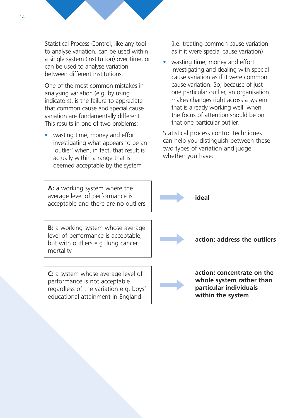Statistical Process Control, like any tool to analyse variation, can be used within a single system (institution) over time, or can be used to analyse variation between different institutions.

One of the most common mistakes in analysing variation (e.g. by using indicators), is the failure to appreciate that common cause and special cause variation are fundamentally different. This results in one of two problems:

wasting time, money and effort investigating what appears to be an 'outlier' when, in fact, that result is actually within a range that is deemed acceptable by the system

(i.e. treating common cause variation as if it were special cause variation)

wasting time, money and effort investigating and dealing with special cause variation as if it were common cause variation. So, because of just one particular outlier, an organisation makes changes right across a system that is already working well, when the focus of attention should be on that one particular outlier.

Statistical process control techniques can help you distinguish between these two types of variation and judge whether you have:

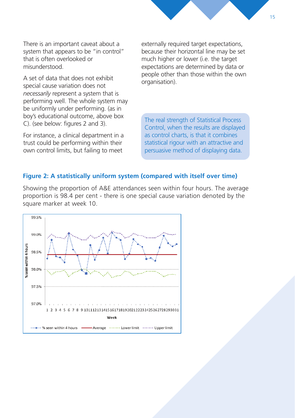There is an important caveat about a system that appears to be "in control" that is often overlooked or misunderstood.

A set of data that does not exhibit special cause variation does not *necessarily* represent a system that is performing well. The whole system may be uniformly under performing. (as in boy's educational outcome, above box C). (see below: figures 2 and 3).

For instance, a clinical department in a trust could be performing within their own control limits, but failing to meet

externally required target expectations, because their horizontal line may be set much higher or lower (i.e. the target expectations are determined by data or people other than those within the own organisation).

The real strength of Statistical Process Control, when the results are displayed as control charts, is that it combines statistical rigour with an attractive and persuasive method of displaying data.

## **Figure 2: A statistically uniform system (compared with itself over time)**

Showing the proportion of A&E attendances seen within four hours. The average proportion is 98.4 per cent - there is one special cause variation denoted by the square marker at week 10.

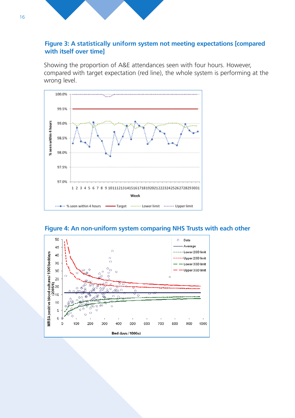## **Figure 3: A statistically uniform system not meeting expectations [compared with itself over time]**

Showing the proportion of A&E attendances seen with four hours. However, compared with target expectation (red line), the whole system is performing at the wrong level.





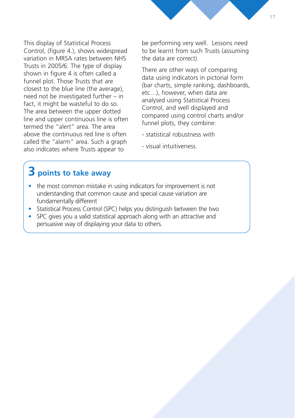This display of Statistical Process Control, (figure 4.), shows widespread variation in MRSA rates between NHS Trusts in 2005/6. The type of display shown in figure 4 is often called a funnel plot. Those Trusts that are closest to the blue line (the average), need not be investigated further – in fact, it might be wasteful to do so. The area between the upper dotted line and upper continuous line is often termed the "alert" area. The area above the continuous red line is often called the "alarm" area. Such a graph also indicates where Trusts appear to

be performing very well. Lessons need to be learnt from such Trusts (assuming the data are correct).

There are other ways of comparing data using indicators in pictorial form (bar charts, simple ranking, dashboards, etc…), however, when data are analysed using Statistical Process Control, and well displayed and compared using control charts and/or funnel plots, they combine:

- statistical robustness with
- visual intuitiveness.

# **3 points to take away**

- the most common mistake in using indicators for improvement is not understanding that common cause and special cause variation are fundamentally different
- Statistical Process Control (SPC) helps you distinguish between the two
- SPC gives you a valid statistical approach along with an attractive and persuasive way of displaying your data to others.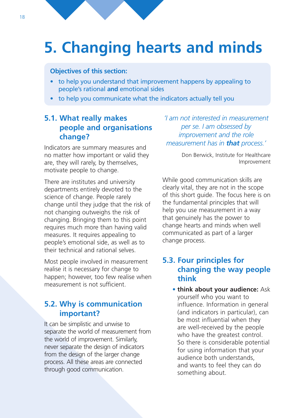# **5. Changing hearts and minds**

### **Objectives of this section:**

- to help you understand that improvement happens by appealing to people's rational **and** emotional sides
- to help you communicate what the indicators actually tell you

## **5.1. What really makes people and organisations change?**

Indicators are summary measures and no matter how important or valid they are, they will rarely, by themselves, motivate people to change.

There are institutes and university departments entirely devoted to the science of change. People rarely change until they judge that the risk of not changing outweighs the risk of changing. Bringing them to this point requires much more than having valid measures. It requires appealing to people's emotional side, as well as to their technical and rational selves.

Most people involved in measurement realise it is necessary for change to happen; however, too few realise when measurement is not sufficient.

## **5.2. Why is communication important?**

It can be simplistic and unwise to separate the world of measurement from the world of improvement. Similarly, never separate the design of indicators from the design of the larger change process. All these areas are connected through good communication.

*'I am not interested in measurement per se. I am obsessed by improvement and the role measurement has in that process.'*

> Don Berwick, Institute for Healthcare Improvement

While good communication skills are clearly vital, they are not in the scope of this short guide. The focus here is on the fundamental principles that will help you use measurement in a way that genuinely has the power to change hearts and minds when well communicated as part of a larger change process.

# **5.3. Four principles for changing the way people think**

• **think about your audience:** Ask yourself who you want to influence. Information in general (and indicators in particular), can be most influential when they are well-received by the people who have the greatest control. So there is considerable potential for using information that your audience both understands, and wants to feel they can do something about.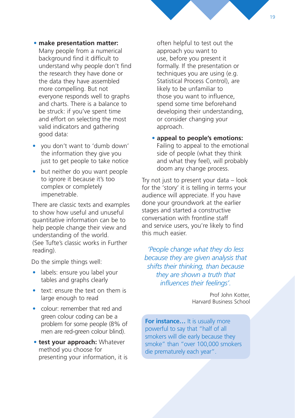

• **make presentation matter:**

Many people from a numerical background find it difficult to understand why people don't find the research they have done or the data they have assembled more compelling. But not everyone responds well to graphs and charts. There is a balance to be struck: if you've spent time and effort on selecting the most valid indicators and gathering good data:

- you don't want to 'dumb down' the information they give you just to get people to take notice
- but neither do you want people to ignore it because it's too complex or completely impenetrable.

There are classic texts and examples to show how useful and unuseful quantitative information can be to help people change their view and understanding of the world. (See Tufte's classic works in Further reading).

Do the simple things well:

- labels: ensure you label your tables and graphs clearly
- text: ensure the text on them is large enough to read
- colour: remember that red and green colour coding can be a problem for some people (8% of men are red-green colour blind).
- **test your approach:** Whatever method you choose for presenting your information, it is

often helpful to test out the approach you want to use, before you present it formally. If the presentation or techniques you are using (e.g. Statistical Process Control), are likely to be unfamiliar to those you want to influence, spend some time beforehand developing their understanding, or consider changing your approach.

• **appeal to people's emotions:** Failing to appeal to the emotional side of people (what they think and what they feel), will probably doom any change process.

Try not just to present your data – look for the 'story' it is telling in terms your audience will appreciate. If you have done your groundwork at the earlier stages and started a constructive conversation with frontline staff and service users, you're likely to find this much easier.

*'People change what they do less because they are given analysis that shifts their thinking, than because they are shown a truth that influences their feelings'.* 

> Prof John Kotter, Harvard Business School

**For instance...** It is usually more powerful to say that "half of all smokers will die early because they smoke" than "over 100,000 smokers die prematurely each year".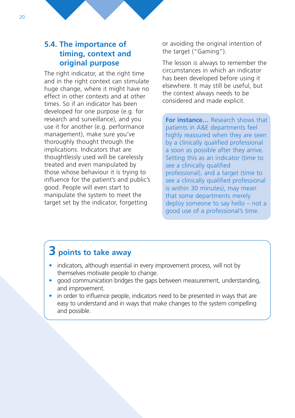## **5.4. The importance of timing, context and original purpose**

The right indicator, at the right time and in the right context can stimulate huge change, where it might have no effect in other contexts and at other times. So if an indicator has been developed for one purpose (e.g. for research and surveillance), and you use it for another (e.g. performance management), make sure you've thoroughly thought through the implications. Indicators that are thoughtlessly used will be carelessly treated and even manipulated by those whose behaviour it is trying to influence for the patient's and public's good. People will even start to manipulate the system to meet the target set by the indicator, forgetting

or avoiding the original intention of the target ("Gaming").

The lesson is always to remember the circumstances in which an indicator has been developed before using it elsewhere. It may still be useful, but the context always needs to be considered and made explicit.

**For instance…** Research shows that patients in A&E departments feel highly reassured when they are seen by a clinically qualified professional a soon as possible after they arrive. Setting this as an indicator (time to see a clinically qualified professional), and a target (time to see a clinically qualified professional is within 30 minutes), may mean that some departments merely deploy someone to say hello – not a good use of a professional's time.

# **3 points to take away**

- indicators, although essential in every improvement process, will not by themselves motivate people to change.
- good communication bridges the gaps between measurement, understanding, and improvement.
- in order to influence people, indicators need to be presented in ways that are easy to understand and in ways that make changes to the system compelling and possible.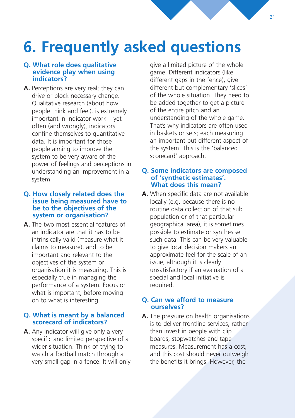# **6. Frequently asked questions**

## **Q. What role does qualitative evidence play when using indicators?**

**A.** Perceptions are very real; they can drive or block necessary change. Qualitative research (about how people think and feel), is extremely important in indicator work – yet often (and wrongly), indicators confine themselves to quantitative data. It is important for those people aiming to improve the system to be very aware of the power of feelings and perceptions in understanding an improvement in a system.

## **Q. How closely related does the issue being measured have to be to the objectives of the system or organisation?**

**A.** The two most essential features of an indicator are that it has to be intrinsically valid (measure what it claims to measure), and to be important and relevant to the objectives of the system or organisation it is measuring. This is especially true in managing the performance of a system. Focus on what is important, before moving on to what is interesting.

## **Q. What is meant by a balanced scorecard of indicators?**

**A.** Any indicator will give only a very specific and limited perspective of a wider situation. Think of trying to watch a football match through a very small gap in a fence. It will only give a limited picture of the whole game. Different indicators (like different gaps in the fence), give different but complementary 'slices' of the whole situation. They need to be added together to get a picture of the entire pitch and an understanding of the whole game. That's why indicators are often used in baskets or sets; each measuring an important but different aspect of the system. This is the 'balanced scorecard' approach.

#### **Q. Some indicators are composed of 'synthetic estimates'. What does this mean?**

**A.** When specific data are not available locally (e.g. because there is no routine data collection of that sub population or of that particular geographical area), it is sometimes possible to estimate or synthesise such data. This can be very valuable to give local decision makers an approximate feel for the scale of an issue, although it is clearly unsatisfactory if an evaluation of a special and local initiative is required.

## **Q. Can we afford to measure ourselves?**

**A.** The pressure on health organisations is to deliver frontline services, rather than invest in people with clip boards, stopwatches and tape measures. Measurement has a cost and this cost should never outweigh the benefits it brings. However, the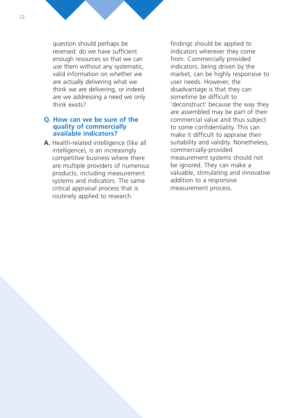question should perhaps be reversed: do we have sufficient enough resources so that we can use them without any systematic, valid information on whether we are actually delivering what we think we are delivering, or indeed are we addressing a need we only think exists?

### **Q. How can we be sure of the quality of commercially available indicators?**

**A.** Health-related intelligence (like all intelligence), is an increasingly competitive business where there are multiple providers of numerous products, including measurement systems and indicators. The same critical appraisal process that is routinely applied to research

findings should be applied to indicators wherever they come from. Commercially provided indicators, being driven by the market, can be highly responsive to user needs. However, the disadvantage is that they can sometime be difficult to 'deconstruct' because the way they are assembled may be part of their commercial value and thus subject to some confidentiality. This can make it difficult to appraise their suitability and validity. Nonetheless, commercially-provided measurement systems should not be ignored. They can make a valuable, stimulating and innovative addition to a responsive measurement process.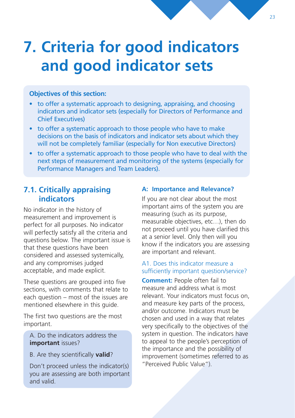# **7. Criteria for good indicators and good indicator sets**

## **Objectives of this section:**

- to offer a systematic approach to designing, appraising, and choosing indicators and indicator sets (especially for Directors of Performance and Chief Executives)
- to offer a systematic approach to those people who have to make decisions on the basis of indicators and indicator sets about which they will not be completely familiar (especially for Non executive Directors)
- to offer a systematic approach to those people who have to deal with the next steps of measurement and monitoring of the systems (especially for Performance Managers and Team Leaders).

## **7.1. Critically appraising indicators**

No indicator in the history of measurement and improvement is perfect for all purposes. No indicator will perfectly satisfy all the criteria and questions below. The important issue is that these questions have been considered and assessed systemically, and any compromises judged acceptable, and made explicit.

These questions are grouped into five sections, with comments that relate to each question – most of the issues are mentioned elsewhere in this guide.

The first two questions are the most important.

A. Do the indicators address the **important** issues?

B. Are they scientifically **valid**?

Don't proceed unless the indicator(s) you are assessing are both important and valid.

## **A: Importance and Relevance?**

If you are not clear about the most important aims of the system you are measuring (such as its purpose, measurable objectives, etc…), then do not proceed until you have clarified this at a senior level. Only then will you know if the indicators you are assessing are important and relevant.

## A1. Does this indicator measure a sufficiently important question/service?

**Comment:** People often fail to measure and address what is most relevant. Your indicators must focus on, and measure key parts of the process, and/or outcome. Indicators must be chosen and used in a way that relates very specifically to the objectives of the system in question. The indicators have to appeal to the people's perception of the importance and the possibility of improvement (sometimes referred to as "Perceived Public Value").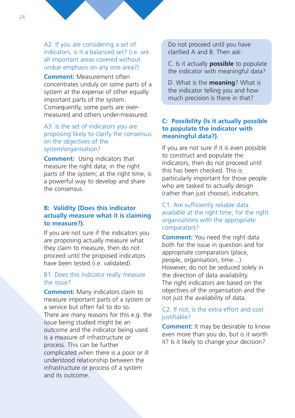A2. If you are considering a set of indicators, is it a balanced set? (i.e. are all important areas covered without undue emphasis on any one area?)

**Comment:** Measurement often concentrates unduly on some parts of a system at the expense of other equally important parts of the system. Consequently, some parts are overmeasured and others under-measured.

## A3. Is the set of indicators you are proposing likely to clarify the consensus on the objectives of the system/organisation?

**Comment:** Using indicators that measure the right data; in the right parts of the system; at the right time, is a powerful way to develop and share the consensus.

## **B: Validity (Does this indicator actually measure what it is claiming to measure?).**

If you are not sure if the indicators you are proposing actually measure what they claim to measure, then do not proceed until the proposed indicators have been tested (i.e. validated).

#### B1. Does this indicator really measure the issue?

**Comment:** Many indicators claim to measure important parts of a system or a service but often fail to do so. There are many reasons for this e.g. the issue being studied might be an outcome and the indicator being used is a measure of infrastructure or process. This can be further complicated when there is a poor or ill understood relationship between the infrastructure or process of a system and its outcome.

Do not proceed until you have clarified A and B. Then ask:

C. Is it actually **possible** to populate the indicator with meaningful data?

D. What is the **meaning**? What is the indicator telling you and how much precision is there in that?

## **C: Possibility (Is it actually possible to populate the indicator with meaningful data?).**

If you are not sure if it is even possible to construct and populate the indicators, then do not proceed until this has been checked. This is particularly important for those people who are tasked to actually design (rather than just choose), indicators.

## C1. Are sufficiently reliable data available at the right time, for the right organisations with the appropriate comparators?

**Comment:** You need the right data both for the issue in question and for appropriate comparators (place, people, organisation, time…). However, do not be seduced solely in the direction of data availability. The right indicators are based on the objectives of the organisation and the not just the availability of data.

## C2. If not, is the extra effort and cost justifiable?

**Comment:** It may be desirable to know even more than you do, but is it worth it? Is it likely to change your decision?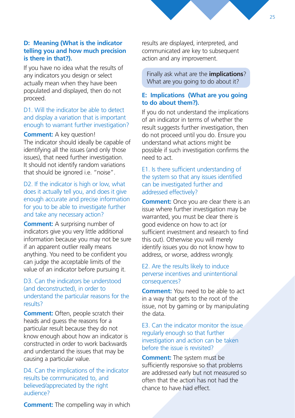## **D: Meaning (What is the indicator telling you and how much precision is there in that?).**

If you have no idea what the results of any indicators you design or select actually mean when they have been populated and displayed, then do not proceed.

## D1. Will the indicator be able to detect and display a variation that is important enough to warrant further investigation?

#### **Comment:** A key question!

The indicator should ideally be capable of identifying all the issues (and only those issues), that need further investigation. It should not identify random variations that should be ignored i.e. "noise".

D2. If the indicator is high or low, what does it actually tell you, and does it give enough accurate and precise information for you to be able to investigate further and take any necessary action?

**Comment:** A surprising number of indicators give you very little additional information because you may not be sure if an apparent outlier really means anything. You need to be confident you can judge the acceptable limits of the value of an indicator before pursuing it.

## D3. Can the indicators be understood (and deconstructed), in order to understand the particular reasons for the results?

**Comment:** Often, people scratch their heads and guess the reasons for a particular result because they do not know enough about how an indicator is constructed in order to work backwards and understand the issues that may be causing a particular value.

D4. Can the implications of the indicator results be communicated to, and believed/appreciated by the right audience?

results are displayed, interpreted, and communicated are key to subsequent action and any improvement.

Finally ask what are the **implications**? What are you going to do about it?

## **E: Implications (What are you going to do about them?).**

If you do not understand the implications of an indicator in terms of whether the result suggests further investigation, then do not proceed until you do. Ensure you understand what actions might be possible if such investigation confirms the need to act.

## E1. Is there sufficient understanding of the system so that any issues identified can be investigated further and addressed effectively?

**Comment:** Once you are clear there is an issue where further investigation may be warranted, you must be clear there is good evidence on how to act (or sufficient investment and research to find this out). Otherwise you will merely identify issues you do not know how to address, or worse, address wrongly.

## E2. Are the results likely to induce perverse incentives and unintentional consequences?

**Comment:** You need to be able to act in a way that gets to the root of the issue, not by gaming or by manipulating the data.

## E3. Can the indicator monitor the issue regularly enough so that further investigation and action can be taken before the issue is revisited?

**Comment:** The system must be sufficiently responsive so that problems are addressed early but not measured so often that the action has not had the chance to have had effect.

**Comment:** The compelling way in which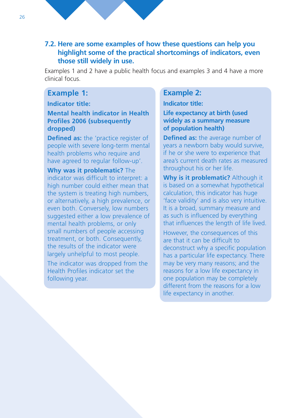## **7.2. Here are some examples of how these questions can help you highlight some of the practical shortcomings of indicators, even those still widely in use.**

Examples 1 and 2 have a public health focus and examples 3 and 4 have a more clinical focus.

## **Example 1:**

## **Indicator title:**

## **Mental health indicator in Health Profiles 2006 (subsequently dropped)**

**Defined as:** the 'practice register of people with severe long-term mental health problems who require and have agreed to regular follow-up'.

**Why was it problematic?** The indicator was difficult to interpret: a high number could either mean that the system is treating high numbers. or alternatively, a high prevalence, or even both. Conversely, low numbers suggested either a low prevalence of mental health problems, or only small numbers of people accessing treatment, or both. Consequently, the results of the indicator were largely unhelpful to most people.

The indicator was dropped from the Health Profiles indicator set the following year.

## **Example 2:**

## **Indicator title:**

## **Life expectancy at birth (used widely as a summary measure of population health)**

**Defined as:** the average number of years a newborn baby would survive, if he or she were to experience that area's current death rates as measured throughout his or her life.

**Why is it problematic?** Although it is based on a somewhat hypothetical calculation, this indicator has huge 'face validity' and is also very intuitive. It is a broad, summary measure and as such is influenced by everything that influences the length of life lived.

However, the consequences of this are that it can be difficult to deconstruct why a specific population has a particular life expectancy. There may be very many reasons; and the reasons for a low life expectancy in one population may be completely different from the reasons for a low life expectancy in another.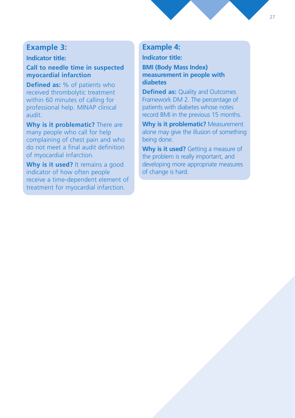# **Example 3:**

**Indicator title:**

## **Call to needle time in suspected myocardial infarction**

**Defined as:** % of patients who received thrombolytic treatment within 60 minutes of calling for professional help. MINAP clinical audit.

**Why is it problematic?** There are many people who call for help complaining of chest pain and who do not meet a final audit definition of myocardial infarction.

Why is it used? It remains a good indicator of how often people receive a time-dependent element of treatment for myocardial infarction.

# **Example 4:**

**Indicator title:**

**BMI (Body Mass Index) measurement in people with diabetes**

**Defined as: Quality and Outcomes** Framework DM 2. The percentage of patients with diabetes whose notes record BMI in the previous 15 months.

**Why is it problematic?** Measurement alone may give the illusion of something being done.

**Why is it used?** Getting a measure of the problem is really important, and developing more appropriate measures of change is hard.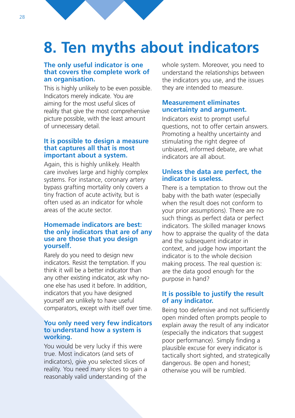# **8. Ten myths about indicators**

## **The only useful indicator is one that covers the complete work of an organisation.**

This is highly unlikely to be even possible. Indicators merely indicate. You are aiming for the most useful slices of reality that give the most comprehensive picture possible, with the least amount of unnecessary detail.

#### **It is possible to design a measure that captures all that is most important about a system.**

Again, this is highly unlikely. Health care involves large and highly complex systems. For instance, coronary artery bypass grafting mortality only covers a tiny fraction of acute activity, but is often used as an indicator for whole areas of the acute sector.

## **Homemade indicators are best: the only indicators that are of any use are those that you design yourself.**

Rarely do you need to design new indicators. Resist the temptation. If you think it will be a better indicator than any other existing indicator, ask why noone else has used it before. In addition, indicators that you have designed yourself are unlikely to have useful comparators, except with itself over time.

## **You only need very few indicators to understand how a system is working.**

You would be very lucky if this were true. Most indicators (and sets of indicators), give you selected slices of reality. You need *many* slices to gain a reasonably valid understanding of the

whole system. Moreover, you need to understand the relationships between the indicators you use, and the issues they are intended to measure.

## **Measurement eliminates uncertainty and argument.**

Indicators exist to prompt useful questions, not to offer certain answers. Promoting a healthy uncertainty and stimulating the right degree of unbiased, informed debate, are what indicators are all about.

## **Unless the data are perfect, the indicator is useless.**

There is a temptation to throw out the baby with the bath water (especially when the result does not conform to your prior assumptions). There are no such things as perfect data or perfect indicators. The skilled manager knows how to appraise the quality of the data and the subsequent indicator in context, and judge how important the indicator is to the whole decision making process. The real question is: are the data good enough for the purpose in hand?

## **It is possible to justify the result of any indicator.**

Being too defensive and not sufficiently open minded often prompts people to explain away the result of any indicator (especially the indicators that suggest poor performance). Simply finding a plausible excuse for every indicator is tactically short sighted, and strategically dangerous. Be open and honest; otherwise you will be rumbled.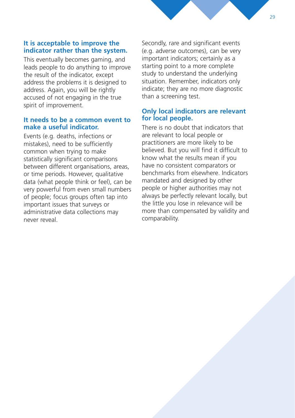#### **It is acceptable to improve the indicator rather than the system.**

This eventually becomes gaming, and leads people to do anything to improve the result of the indicator, except address the problems it is designed to address. Again, you will be rightly accused of not engaging in the true spirit of improvement.

## **It needs to be a common event to make a useful indicator.**

Events (e.g. deaths, infections or mistakes), need to be sufficiently common when trying to make statistically significant comparisons between different organisations, areas, or time periods. However, qualitative data (what people think or feel), can be very powerful from even small numbers of people; focus groups often tap into important issues that surveys or administrative data collections may never reveal.

Secondly, rare and significant events (e.g. adverse outcomes), can be very important indicators; certainly as a starting point to a more complete study to understand the underlying situation. Remember, indicators only indicate; they are no more diagnostic than a screening test.

## **Only local indicators are relevant for local people.**

There is no doubt that indicators that are relevant to local people or practitioners are more likely to be believed. But you will find it difficult to know what the results mean if you have no consistent comparators or benchmarks from elsewhere. Indicators mandated and designed by other people or higher authorities may not always be perfectly relevant locally, but the little you lose in relevance will be more than compensated by validity and comparability.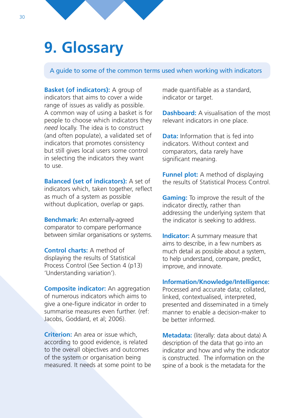# **9. Glossary**

A guide to some of the common terms used when working with indicators

**Basket (of indicators):** A group of indicators that aims to cover a wide range of issues as validly as possible. A common way of using a basket is for people to choose which indicators they *need* locally. The idea is to construct (and often populate), a validated set of indicators that promotes consistency but still gives local users some control in selecting the indicators they want to use.

**Balanced (set of indicators):** A set of indicators which, taken together, reflect as much of a system as possible without duplication, overlap or gaps.

**Benchmark:** An externally-agreed comparator to compare performance between similar organisations or systems.

**Control charts:** A method of displaying the results of Statistical Process Control (See Section 4 (p13) 'Understanding variation').

**Composite indicator:** An aggregation of numerous indicators which aims to give a one-figure indicator in order to summarise measures even further. (ref: Jacobs, Goddard, et al; 2006).

**Criterion:** An area or issue which. according to good evidence, is related to the overall objectives and outcomes of the system or organisation being measured. It needs at some point to be made quantifiable as a standard, indicator or target.

**Dashboard:** A visualisation of the most relevant indicators in one place.

**Data:** Information that is fed into indicators. Without context and comparators, data rarely have significant meaning.

**Funnel plot:** A method of displaying the results of Statistical Process Control.

**Gaming:** To improve the result of the indicator directly, rather than addressing the underlying system that the indicator is seeking to address.

**Indicator:** A summary measure that aims to describe, in a few numbers as much detail as possible about a system, to help understand, compare, predict, improve, and innovate.

#### **Information/Knowledge/Intelligence:**

Processed and accurate data; collated, linked, contextualised, interpreted, presented and disseminated in a timely manner to enable a decision-maker to be better informed.

**Metadata:** (literally: data about data) A description of the data that go into an indicator and how and why the indicator is constructed. The information on the spine of a book is the metadata for the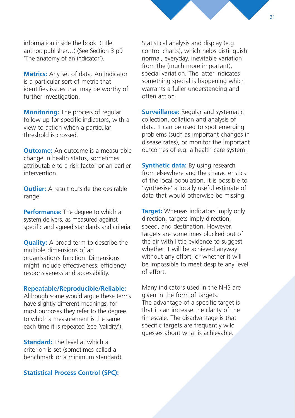information inside the book. (Title, author, publisher…) (See Section 3 p9 'The anatomy of an indicator').

**Metrics:** Any set of data. An indicator is a particular sort of metric that identifies issues that may be worthy of further investigation.

**Monitoring:** The process of regular follow up for specific indicators, with a view to action when a particular threshold is crossed.

**Outcome:** An outcome is a measurable change in health status, sometimes attributable to a risk factor or an earlier intervention.

**Outlier:** A result outside the desirable range.

**Performance:** The degree to which a system delivers, as measured against specific and agreed standards and criteria.

**Quality:** A broad term to describe the multiple dimensions of an organisation's function. Dimensions might include effectiveness, efficiency, responsiveness and accessibility.

#### **Repeatable/Reproducible/Reliable:**

Although some would argue these terms have slightly different meanings, for most purposes they refer to the degree to which a measurement is the same each time it is repeated (see 'validity').

**Standard:** The level at which a criterion is set (sometimes called a benchmark or a minimum standard).

### **Statistical Process Control (SPC):**

Statistical analysis and display (e.g. control charts), which helps distinguish normal, everyday, inevitable variation from the (much more important) special variation. The latter indicates something special is happening which warrants a fuller understanding and often action.

**Surveillance:** Regular and systematic collection, collation and analysis of data. It can be used to spot emerging problems (such as important changes in disease rates), or monitor the important outcomes of e.g. a health care system.

**Synthetic data:** By using research from elsewhere and the characteristics of the local population, it is possible to 'synthesise' a locally useful estimate of data that would otherwise be missing.

**Target:** Whereas indicators imply only direction, targets imply direction, speed, and destination. However, targets are sometimes plucked out of the air with little evidence to suggest whether it will be achieved anyway without any effort, or whether it will be impossible to meet despite any level of effort.

Many indicators used in the NHS are given in the form of targets. The advantage of a specific target is that it can increase the clarity of the timescale. The disadvantage is that specific targets are frequently wild guesses about what is achievable.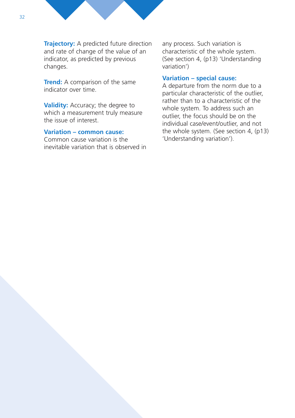**Trajectory:** A predicted future direction and rate of change of the value of an indicator, as predicted by previous changes.

**Trend:** A comparison of the same indicator over time.

**Validity:** Accuracy; the degree to which a measurement truly measure the issue of interest.

## **Variation – common cause:**

Common cause variation is the inevitable variation that is observed in any process. Such variation is characteristic of the whole system. (See section 4, (p13) 'Understanding variation')

### **Variation – special cause:**

A departure from the norm due to a particular characteristic of the outlier, rather than to a characteristic of the whole system. To address such an outlier, the focus should be on the individual case/event/outlier, and not the whole system. (See section 4, (p13) 'Understanding variation').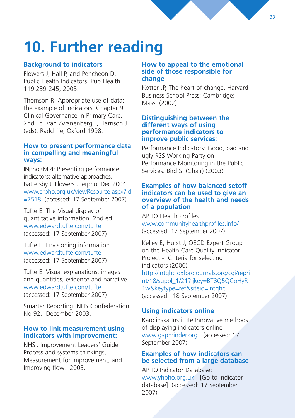# **10. Further reading**

## **Background to indicators**

Flowers J, Hall P, and Pencheon D. Public Health Indicators. Pub Health 119:239-245, 2005.

Thomson R. Appropriate use of data: the example of indicators. Chapter 9, Clinical Governance in Primary Care, 2nd Ed. Van Zwanenberg T, Harrison J. (eds). Radcliffe, Oxford 1998.

## **How to present performance data in compelling and meaningful ways:**

INphoRM 4: Presenting performance indicators: alternative approaches. Battersby J, Flowers J. erpho. Dec 2004 www.erpho.org.uk/viewResource.aspx?id =7518 (accessed: 17 September 2007)

Tufte E. The Visual display of quantitative information. 2nd ed. www.edwardtufte.com/tufte (accessed: 17 September 2007)

Tufte E. Envisioning information www.edwardtufte.com/tufte (accessed: 17 September 2007)

Tufte E. Visual explanations: images and quantities, evidence and narrative. www.edwardtufte.com/tufte (accessed: 17 September 2007)

Smarter Reporting. NHS Confederation No 92. December 2003.

## **How to link measurement using indicators with improvement:**

NHSI: Improvement Leaders' Guide Process and systems thinkings, Measurement for improvement, and Improving flow. 2005.

## **How to appeal to the emotional side of those responsible for change**

Kotter JP, The heart of change. Harvard Business School Press; Cambridge; Mass. (2002)

## **Distinguishing between the different ways of using performance indicators to improve public services:**

Performance Indicators: Good, bad and ugly RSS Working Party on Performance Monitoring in the Public Services. Bird S. (Chair) (2003)

## **Examples of how balanced setoff indicators can be used to give an overview of the health and needs of a population**

APHO Health Profiles www.communityhealthprofiles.info/ (accessed: 17 September 2007)

Kelley E, Hurst J, OECD Expert Group on the Health Care Quality Indicator Project - Criteria for selecting indicators (2006) http://intqhc.oxfordjournals.org/cgi/repri nt/18/suppl\_1/21?ijkey=BT8Q5QCoHyR 1w&keytype=ref&siteid=intqhc (accessed: 18 September 2007)

## **Using indicators online**

Karolinska Institute Innovative methods of displaying indicators online – www.gapminder.org (accessed: 17 September 2007)

## **Examples of how indicators can be selected from a large database**

APHO Indicator Database: www.yhpho.org.uk [Go to indicator database] (accessed: 17 September 2007)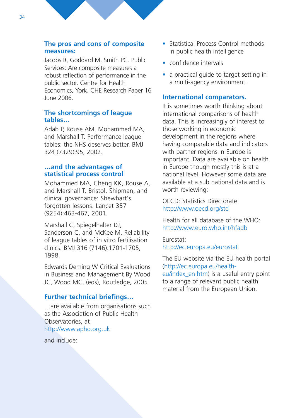## **The pros and cons of composite measures:**

Jacobs R, Goddard M, Smith PC. Public Services: Are composite measures a robust reflection of performance in the public sector. Centre for Health Economics, York. CHE Research Paper 16 June 2006.

## **The shortcomings of league tables…**

Adab P, Rouse AM, Mohammed MA, and Marshall T. Performance league tables: the NHS deserves better. BMJ 324 (7329):95, 2002.

## **…and the advantages of statistical process control**

Mohammed MA, Cheng KK, Rouse A, and Marshall T. Bristol, Shipman, and clinical governance: Shewhart's forgotten lessons. Lancet 357 (9254):463-467, 2001.

Marshall C, Spiegelhalter DJ, Sanderson C, and McKee M. Reliability of league tables of in vitro fertilisation clinics. BMJ 316 (7146):1701-1705, 1998.

Edwards Deming W Critical Evaluations in Business and Management By Wood JC, Wood MC, (eds), Routledge, 2005.

## **Further technical briefings…**

…are available from organisations such as the Association of Public Health Observatories, at http://www.apho.org.uk

and include:

- Statistical Process Control methods in public health intelligence
- confidence intervals
- a practical guide to target setting in a multi-agency environment.

## **International comparators.**

It is sometimes worth thinking about international comparisons of health data. This is increasingly of interest to those working in economic development in the regions where having comparable data and indicators with partner regions in Europe is important. Data are available on health in Europe though mostly this is at a national level. However some data are available at a sub national data and is worth reviewing:

OECD: Statistics Directorate http://www.oecd.org/std

Health for all database of the WHO: http://www.euro.who.int/hfadb

Eurostat: http://ec.europa.eu/eurostat

The EU website via the EU health portal (http://ec.europa.eu/healtheu/index\_en.htm) is a useful entry point to a range of relevant public health material from the European Union.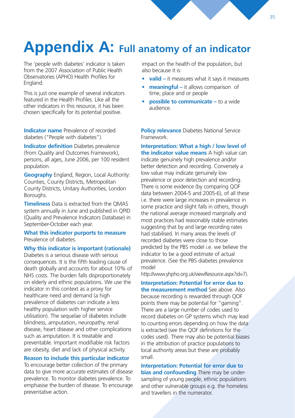# **Appendix A: Full anatomy of an indicator**

The 'people with diabetes' indicator is taken from the 2007 Association of Public Health Observatories (APHO) Health Profiles for England.

This is just one example of several indicators featured in the Health Profiles. Like all the other indicators in this resource, it has been chosen specifically for its potential positive.

**Indicator name** Prevalence of recorded diabetes ("People with diabetes").

**Indicator definition** Diabetes prevalence (from Quality and Outcomes Framework), persons, all ages, June 2006, per 100 resident population.

**Geography** England, Region, Local Authority: Counties, County Districts, Metropolitan County Districts, Unitary Authorities, London Boroughs.

**Timeliness** Data is extracted from the QMAS system annually in June and published in QPID (Quality and Prevalence Indicators Database) in September-October each year.

#### **What this indicator purports to measure** Prevalence of diabetes.

**Why this indicator is important (rationale)**

Diabetes is a serious disease with serious consequences. It is the fifth leading cause of death globally and accounts for about 10% of NHS costs. The burden falls disproportionately on elderly and ethnic populations. We use the indicator in this context as a proxy for healthcare need and demand (a high prevalence of diabetes can indicate a less healthy population with higher service utilisation). The sequelae of diabetes include blindness, amputation, neuropathy, renal disease, heart disease and other complications such as amputation. It is treatable and preventable. Important modifiable risk factors are obesity, diet and lack of physical activity.

#### **Reason to include this particular indicator**

To encourage better collection of the primary data to give more accurate estimates of disease prevalence. To monitor diabetes prevalence. To emphasise the burden of disease. To encourage preventative action.

impact on the health of the population, but also because it is:

- **valid –** it measures what it says it measures
- **meaningful –** it allows comparison of time, place and or people
- **possible to communicate –** to a wide audience.

**Policy relevance** Diabetes National Service Framework.

**Interpretation: What a high / low level of the indicator value means** A high value can indicate genuinely high prevalence and/or better detection and recording. Conversely a low value may indicate genuinely low prevalence or poor detection and recording. There is some evidence (by comparing QOF data between 2004-5 and 2005-6), of all these i.e. there were large increases in prevalence in some practice and slight falls in others, though the national average increased marginally and most practices had reasonably stable estimates suggesting that by and large recording rates had stabilised. In many areas the levels of recorded diabetes were close to those predicted by the PBS model i.e. we believe the indicator to be a good estimate of actual prevalence. (See the PBS diabetes prevalence model

http://www.yhpho.org.uk/viewResource.aspx?id=7).

**Interpretation: Potential for error due to the measurement method** See above. Also because recording is rewarded through QOF points there may be potential for "gaming". There are a large number of codes used to record diabetes on GP systems which may lead to counting errors depending on how the data is extracted (see the QOF definitions for the codes used). There may also be potential biases in the attribution of practice populations to local authority areas but these are probably small.

**Interpretation: Potential for error due to bias and confounding** There may be undersampling of young people, ethnic populations and other vulnerable groups e.g. the homeless and travellers in the numerator.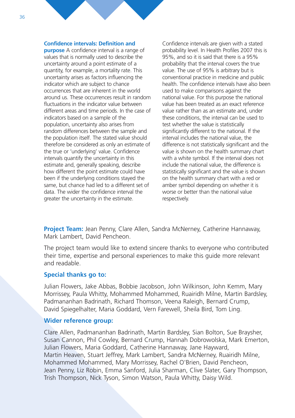#### **Confidence intervals: Definition and**

**purpose** A confidence interval is a range of values that is normally used to describe the uncertainty around a point estimate of a quantity, for example, a mortality rate. This uncertainty arises as factors influencing the indicator which are subject to chance occurrences that are inherent in the world around us. These occurrences result in random fluctuations in the indicator value between different areas and time periods. In the case of indicators based on a sample of the population, uncertainty also arises from random differences between the sample and the population itself. The stated value should therefore be considered as only an estimate of the true or 'underlying' value. Confidence intervals quantify the uncertainty in this estimate and, generally speaking, describe how different the point estimate could have been if the underlying conditions stayed the same, but chance had led to a different set of data. The wider the confidence interval the greater the uncertainty in the estimate.

Confidence intervals are given with a stated probability level. In Health Profiles 2007 this is 95%, and so it is said that there is a 95% probability that the interval covers the true value. The use of 95% is arbitrary but is conventional practice in medicine and public health. The confidence intervals have also been used to make comparisons against the national value. For this purpose the national value has been treated as an exact reference value rather than as an estimate and, under these conditions, the interval can be used to test whether the value is statistically significantly different to the national. If the interval includes the national value, the difference is not statistically significant and the value is shown on the health summary chart with a white symbol. If the interval does not include the national value, the difference is statistically significant and the value is shown on the health summary chart with a red or amber symbol depending on whether it is worse or better than the national value respectively.

**Project Team:** Jean Penny, Clare Allen, Sandra McNerney, Catherine Hannaway, Mark Lambert, David Pencheon.

The project team would like to extend sincere thanks to everyone who contributed their time, expertise and personal experiences to make this guide more relevant and readable.

#### **Special thanks go to:**

Julian Flowers, Jake Abbas, Bobbie Jacobson, John Wilkinson, John Kemm, Mary Morrissey, Paula Whitty, Mohammed Mohammed, Ruairidh Milne, Martin Bardsley, Padmananhan Badrinath, Richard Thomson, Veena Raleigh, Bernard Crump, David Spiegelhalter, Maria Goddard, Vern Farewell, Sheila Bird, Tom Ling.

#### **Wider reference group:**

Clare Allen, Padmananhan Badrinath, Martin Bardsley, Sian Bolton, Sue Braysher, Susan Cannon, Phil Cowley, Bernard Crump, Hannah Dobrowolska, Mark Emerton, Julian Flowers, Maria Goddard, Catherine Hannaway, Jane Hayward, Martin Heaven, Stuart Jeffrey, Mark Lambert, Sandra McNerney, Ruairidh Milne, Mohammed Mohammed, Mary Morrissey, Rachel O'Brien, David Pencheon, Jean Penny, Liz Robin, Emma Sanford, Julia Sharman, Clive Slater, Gary Thompson, Trish Thompson, Nick Tyson, Simon Watson, Paula Whitty, Daisy Wild.